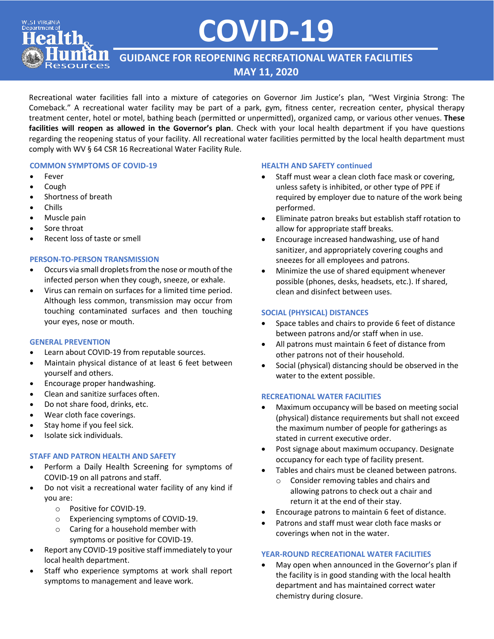# **COVID-19**

**GUIDANCE FOR REOPENING RECREATIONAL WATER FACILITIES MAY 11, 2020**

Recreational water facilities fall into a mixture of categories on Governor Jim Justice's plan, "West Virginia Strong: The Comeback." A recreational water facility may be part of a park, gym, fitness center, recreation center, physical therapy treatment center, hotel or motel, bathing beach (permitted or unpermitted), organized camp, or various other venues. **These facilities will reopen as allowed in the Governor's plan**. Check with your local health department if you have questions regarding the reopening status of your facility. All recreational water facilities permitted by the local health department must comply with WV § 64 CSR 16 Recreational Water Facility Rule.

#### **COMMON SYMPTOMS OF COVID-19**

• Fever

**WEST VIRGINIA** Department of

- Cough
- Shortness of breath
- Chills
- Muscle pain
- Sore throat
- Recent loss of taste or smell

#### **PERSON-TO-PERSON TRANSMISSION**

- Occurs via small droplets from the nose or mouth of the infected person when they cough, sneeze, or exhale.
- Virus can remain on surfaces for a limited time period. Although less common, transmission may occur from touching contaminated surfaces and then touching your eyes, nose or mouth.

#### **GENERAL PREVENTION**

- Learn about COVID-19 from reputable sources.
- Maintain physical distance of at least 6 feet between yourself and others.
- Encourage proper handwashing.
- Clean and sanitize surfaces often.
- Do not share food, drinks, etc.
- Wear cloth face coverings.
- Stay home if you feel sick.
- Isolate sick individuals.

#### **STAFF AND PATRON HEALTH AND SAFETY**

- Perform a [Daily Health Screening](https://dhhr.wv.gov/COVID-19/Documents/Coronavirus-Guidance-Health-Screening-Questions.pdf) for symptoms of COVID-19 on all patrons and staff.
- Do not visit a recreational water facility of any kind if you are:
	- o Positive for COVID-19.
	- o Experiencing symptoms of COVID-19.
	- o Caring for a household member with symptoms or positive for COVID-19.
- Report any COVID-19 positive staff immediately to your local health department.
- Staff who experience symptoms at work shall report symptoms to management and leave work.

#### **HEALTH AND SAFETY continued**

- Staff must wear a clean cloth face mask or covering, unless safety is inhibited, or other type of PPE if required by employer due to nature of the work being performed.
- Eliminate patron breaks but establish staff rotation to allow for appropriate staff breaks.
- Encourage increased handwashing, use of hand sanitizer, and appropriately covering coughs and sneezes for all employees and patrons.
- Minimize the use of shared equipment whenever possible (phones, desks, headsets, etc.). If shared, clean and disinfect between uses.

#### **SOCIAL (PHYSICAL) DISTANCES**

- Space tables and chairs to provide 6 feet of distance between patrons and/or staff when in use.
- All patrons must maintain 6 feet of distance from other patrons not of their household.
- Social (physical) distancing should be observed in the water to the extent possible.

#### **RECREATIONAL WATER FACILITIES**

- Maximum occupancy will be based on meeting social (physical) distance requirements but shall not exceed the maximum number of people for gatherings as stated in current executive order.
- Post signage about maximum occupancy. Designate occupancy for each type of facility present.
- Tables and chairs must be cleaned between patrons.
	- o Consider removing tables and chairs and allowing patrons to check out a chair and return it at the end of their stay.
- Encourage patrons to maintain 6 feet of distance.
- Patrons and staff must wear cloth face masks or coverings when not in the water.

#### **YEAR-ROUND RECREATIONAL WATER FACILITIES**

• May open when announced in the Governor's plan if the facility is in good standing with the local health department and has maintained correct water chemistry during closure.